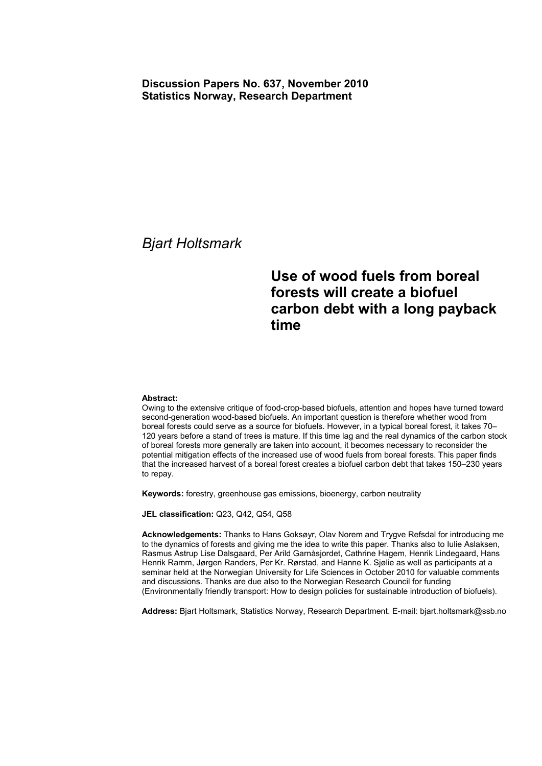### **Discussion Papers No. 637, November 2010 Statistics Norway, Research Department**

## *Bjart Holtsmark*

# **Use of wood fuels from boreal forests will create a biofuel carbon debt with a long payback time**

#### **Abstract:**

Owing to the extensive critique of food-crop-based biofuels, attention and hopes have turned toward second-generation wood-based biofuels. An important question is therefore whether wood from boreal forests could serve as a source for biofuels. However, in a typical boreal forest, it takes 70– 120 years before a stand of trees is mature. If this time lag and the real dynamics of the carbon stock of boreal forests more generally are taken into account, it becomes necessary to reconsider the potential mitigation effects of the increased use of wood fuels from boreal forests. This paper finds that the increased harvest of a boreal forest creates a biofuel carbon debt that takes 150–230 years to repay.

**Keywords:** forestry, greenhouse gas emissions, bioenergy, carbon neutrality

**JEL classification:** Q23, Q42, Q54, Q58

**Acknowledgements:** Thanks to Hans Goksøyr, Olav Norem and Trygve Refsdal for introducing me to the dynamics of forests and giving me the idea to write this paper. Thanks also to Iulie Aslaksen, Rasmus Astrup Lise Dalsgaard, Per Arild Garnåsjordet, Cathrine Hagem, Henrik Lindegaard, Hans Henrik Ramm, Jørgen Randers, Per Kr. Rørstad, and Hanne K. Sjølie as well as participants at a seminar held at the Norwegian University for Life Sciences in October 2010 for valuable comments and discussions. Thanks are due also to the Norwegian Research Council for funding (Environmentally friendly transport: How to design policies for sustainable introduction of biofuels).

**Address:** Bjart Holtsmark, Statistics Norway, Research Department. E-mail: bjart.holtsmark@ssb.no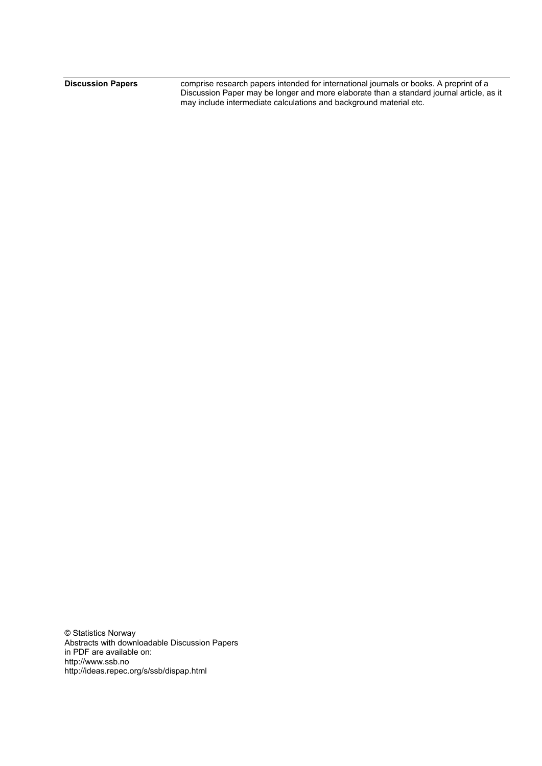**Discussion Papers** comprise research papers intended for international journals or books. A preprint of a Discussion Paper may be longer and more elaborate than a standard journal article, as it may include intermediate calculations and background material etc.

© Statistics Norway Abstracts with downloadable Discussion Papers in PDF are available on: http://www.ssb.no http://ideas.repec.org/s/ssb/dispap.html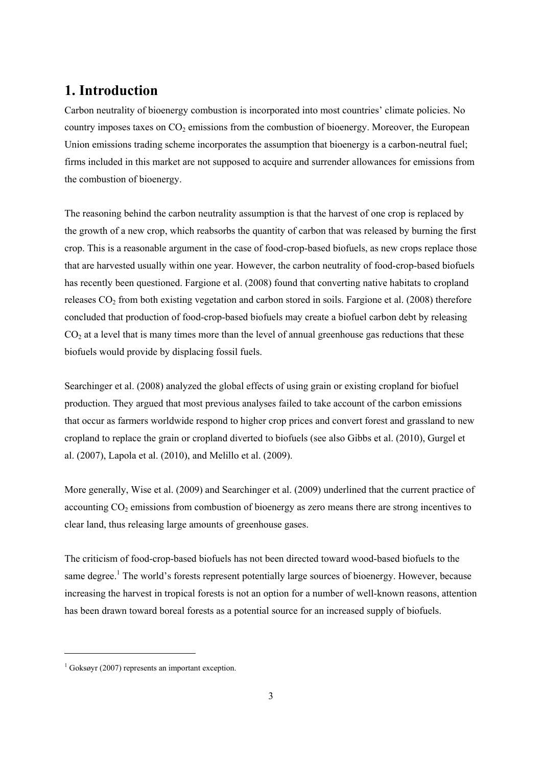## **1. Introduction**

Carbon neutrality of bioenergy combustion is incorporated into most countries' climate policies. No country imposes taxes on  $CO<sub>2</sub>$  emissions from the combustion of bioenergy. Moreover, the European Union emissions trading scheme incorporates the assumption that bioenergy is a carbon-neutral fuel; firms included in this market are not supposed to acquire and surrender allowances for emissions from the combustion of bioenergy.

The reasoning behind the carbon neutrality assumption is that the harvest of one crop is replaced by the growth of a new crop, which reabsorbs the quantity of carbon that was released by burning the first crop. This is a reasonable argument in the case of food-crop-based biofuels, as new crops replace those that are harvested usually within one year. However, the carbon neutrality of food-crop-based biofuels has recently been questioned. Fargione et al. (2008) found that converting native habitats to cropland releases CO<sub>2</sub> from both existing vegetation and carbon stored in soils. Fargione et al. (2008) therefore concluded that production of food-crop-based biofuels may create a biofuel carbon debt by releasing  $CO<sub>2</sub>$  at a level that is many times more than the level of annual greenhouse gas reductions that these biofuels would provide by displacing fossil fuels.

Searchinger et al. (2008) analyzed the global effects of using grain or existing cropland for biofuel production. They argued that most previous analyses failed to take account of the carbon emissions that occur as farmers worldwide respond to higher crop prices and convert forest and grassland to new cropland to replace the grain or cropland diverted to biofuels (see also Gibbs et al. (2010), Gurgel et al. (2007), Lapola et al. (2010), and Melillo et al. (2009).

More generally, Wise et al. (2009) and Searchinger et al. (2009) underlined that the current practice of accounting  $CO<sub>2</sub>$  emissions from combustion of bioenergy as zero means there are strong incentives to clear land, thus releasing large amounts of greenhouse gases.

The criticism of food-crop-based biofuels has not been directed toward wood-based biofuels to the same degree.<sup>1</sup> The world's forests represent potentially large sources of bioenergy. However, because increasing the harvest in tropical forests is not an option for a number of well-known reasons, attention has been drawn toward boreal forests as a potential source for an increased supply of biofuels.

1

<sup>1</sup> Goksøyr (2007) represents an important exception.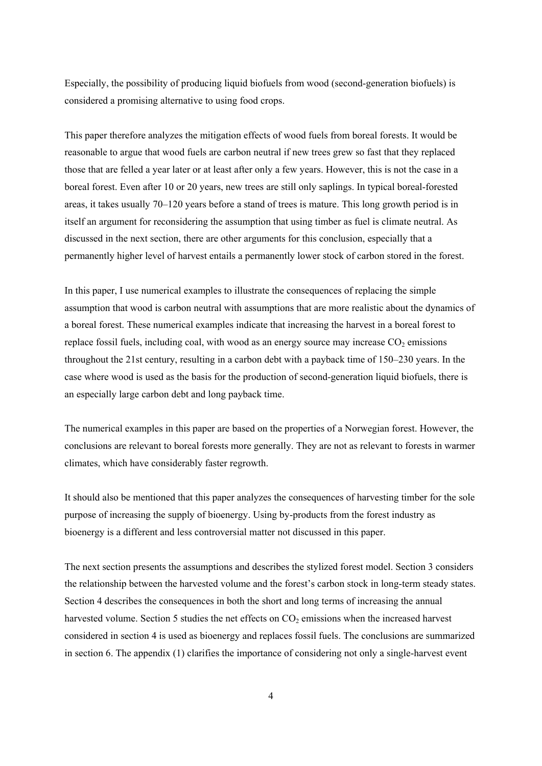Especially, the possibility of producing liquid biofuels from wood (second-generation biofuels) is considered a promising alternative to using food crops.

This paper therefore analyzes the mitigation effects of wood fuels from boreal forests. It would be reasonable to argue that wood fuels are carbon neutral if new trees grew so fast that they replaced those that are felled a year later or at least after only a few years. However, this is not the case in a boreal forest. Even after 10 or 20 years, new trees are still only saplings. In typical boreal-forested areas, it takes usually 70–120 years before a stand of trees is mature. This long growth period is in itself an argument for reconsidering the assumption that using timber as fuel is climate neutral. As discussed in the next section, there are other arguments for this conclusion, especially that a permanently higher level of harvest entails a permanently lower stock of carbon stored in the forest.

In this paper, I use numerical examples to illustrate the consequences of replacing the simple assumption that wood is carbon neutral with assumptions that are more realistic about the dynamics of a boreal forest. These numerical examples indicate that increasing the harvest in a boreal forest to replace fossil fuels, including coal, with wood as an energy source may increase  $CO<sub>2</sub>$  emissions throughout the 21st century, resulting in a carbon debt with a payback time of 150–230 years. In the case where wood is used as the basis for the production of second-generation liquid biofuels, there is an especially large carbon debt and long payback time.

The numerical examples in this paper are based on the properties of a Norwegian forest. However, the conclusions are relevant to boreal forests more generally. They are not as relevant to forests in warmer climates, which have considerably faster regrowth.

It should also be mentioned that this paper analyzes the consequences of harvesting timber for the sole purpose of increasing the supply of bioenergy. Using by-products from the forest industry as bioenergy is a different and less controversial matter not discussed in this paper.

The next section presents the assumptions and describes the stylized forest model. Section 3 considers the relationship between the harvested volume and the forest's carbon stock in long-term steady states. Section 4 describes the consequences in both the short and long terms of increasing the annual harvested volume. Section 5 studies the net effects on  $CO<sub>2</sub>$  emissions when the increased harvest considered in section 4 is used as bioenergy and replaces fossil fuels. The conclusions are summarized in section 6. The appendix (1) clarifies the importance of considering not only a single-harvest event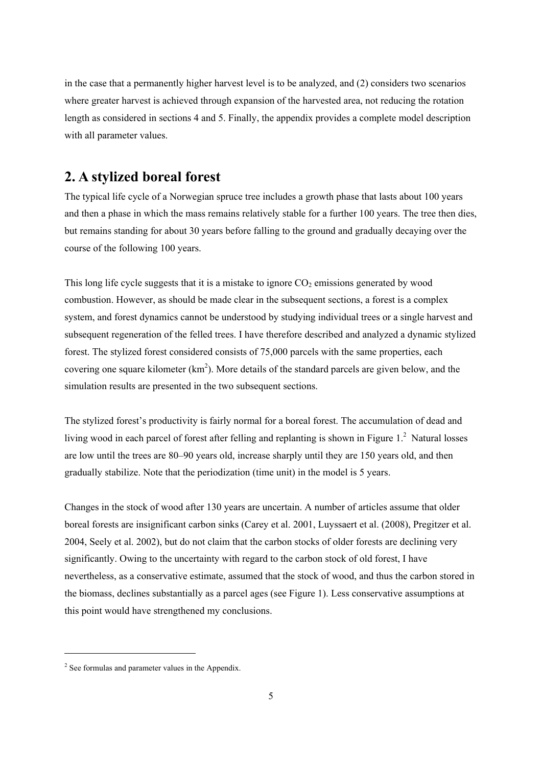in the case that a permanently higher harvest level is to be analyzed, and (2) considers two scenarios where greater harvest is achieved through expansion of the harvested area, not reducing the rotation length as considered in sections 4 and 5. Finally, the appendix provides a complete model description with all parameter values.

## **2. A stylized boreal forest**

The typical life cycle of a Norwegian spruce tree includes a growth phase that lasts about 100 years and then a phase in which the mass remains relatively stable for a further 100 years. The tree then dies, but remains standing for about 30 years before falling to the ground and gradually decaying over the course of the following 100 years.

This long life cycle suggests that it is a mistake to ignore CO<sub>2</sub> emissions generated by wood combustion. However, as should be made clear in the subsequent sections, a forest is a complex system, and forest dynamics cannot be understood by studying individual trees or a single harvest and subsequent regeneration of the felled trees. I have therefore described and analyzed a dynamic stylized forest. The stylized forest considered consists of 75,000 parcels with the same properties, each covering one square kilometer  $(km^2)$ . More details of the standard parcels are given below, and the simulation results are presented in the two subsequent sections.

The stylized forest's productivity is fairly normal for a boreal forest. The accumulation of dead and living wood in each parcel of forest after felling and replanting is shown in Figure  $1<sup>2</sup>$  Natural losses are low until the trees are 80–90 years old, increase sharply until they are 150 years old, and then gradually stabilize. Note that the periodization (time unit) in the model is 5 years.

Changes in the stock of wood after 130 years are uncertain. A number of articles assume that older boreal forests are insignificant carbon sinks (Carey et al. 2001, Luyssaert et al. (2008), Pregitzer et al. 2004, Seely et al. 2002), but do not claim that the carbon stocks of older forests are declining very significantly. Owing to the uncertainty with regard to the carbon stock of old forest, I have nevertheless, as a conservative estimate, assumed that the stock of wood, and thus the carbon stored in the biomass, declines substantially as a parcel ages (see Figure 1). Less conservative assumptions at this point would have strengthened my conclusions.

1

<sup>&</sup>lt;sup>2</sup> See formulas and parameter values in the Appendix.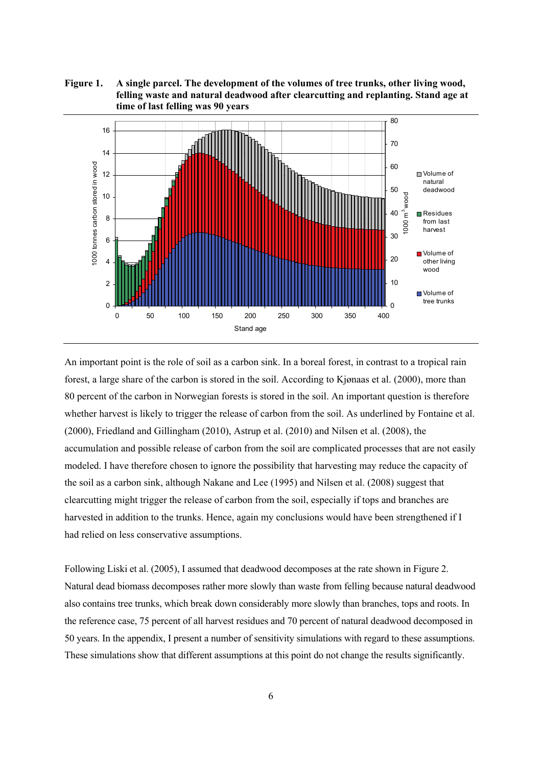**Figure 1. A single parcel. The development of the volumes of tree trunks, other living wood, felling waste and natural deadwood after clearcutting and replanting. Stand age at time of last felling was 90 years** 



An important point is the role of soil as a carbon sink. In a boreal forest, in contrast to a tropical rain forest, a large share of the carbon is stored in the soil. According to Kjønaas et al. (2000), more than 80 percent of the carbon in Norwegian forests is stored in the soil. An important question is therefore whether harvest is likely to trigger the release of carbon from the soil. As underlined by Fontaine et al. (2000), Friedland and Gillingham (2010), Astrup et al. (2010) and Nilsen et al. (2008), the accumulation and possible release of carbon from the soil are complicated processes that are not easily modeled. I have therefore chosen to ignore the possibility that harvesting may reduce the capacity of the soil as a carbon sink, although Nakane and Lee (1995) and Nilsen et al. (2008) suggest that clearcutting might trigger the release of carbon from the soil, especially if tops and branches are harvested in addition to the trunks. Hence, again my conclusions would have been strengthened if I had relied on less conservative assumptions.

Following Liski et al. (2005), I assumed that deadwood decomposes at the rate shown in Figure 2. Natural dead biomass decomposes rather more slowly than waste from felling because natural deadwood also contains tree trunks, which break down considerably more slowly than branches, tops and roots. In the reference case, 75 percent of all harvest residues and 70 percent of natural deadwood decomposed in 50 years. In the appendix, I present a number of sensitivity simulations with regard to these assumptions. These simulations show that different assumptions at this point do not change the results significantly.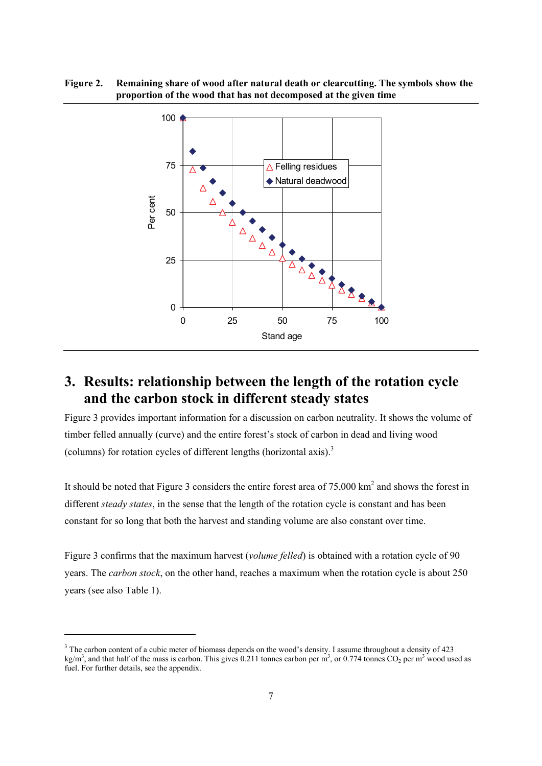**Figure 2. Remaining share of wood after natural death or clearcutting. The symbols show the proportion of the wood that has not decomposed at the given time** 



# **3. Results: relationship between the length of the rotation cycle and the carbon stock in different steady states**

Figure 3 provides important information for a discussion on carbon neutrality. It shows the volume of timber felled annually (curve) and the entire forest's stock of carbon in dead and living wood (columns) for rotation cycles of different lengths (horizontal axis).<sup>3</sup>

It should be noted that Figure 3 considers the entire forest area of  $75,000 \text{ km}^2$  and shows the forest in different *steady states*, in the sense that the length of the rotation cycle is constant and has been constant for so long that both the harvest and standing volume are also constant over time.

Figure 3 confirms that the maximum harvest (*volume felled*) is obtained with a rotation cycle of 90 years. The *carbon stock*, on the other hand, reaches a maximum when the rotation cycle is about 250 years (see also Table 1).

1

<sup>&</sup>lt;sup>3</sup> The carbon content of a cubic meter of biomass depends on the wood's density. I assume throughout a density of 423  $kg/m<sup>3</sup>$ , and that half of the mass is carbon. This gives 0.211 tonnes carbon per m<sup>3</sup>, or 0.774 tonnes CO<sub>2</sub> per m<sup>3</sup> wood used as fuel. For further details, see the appendix.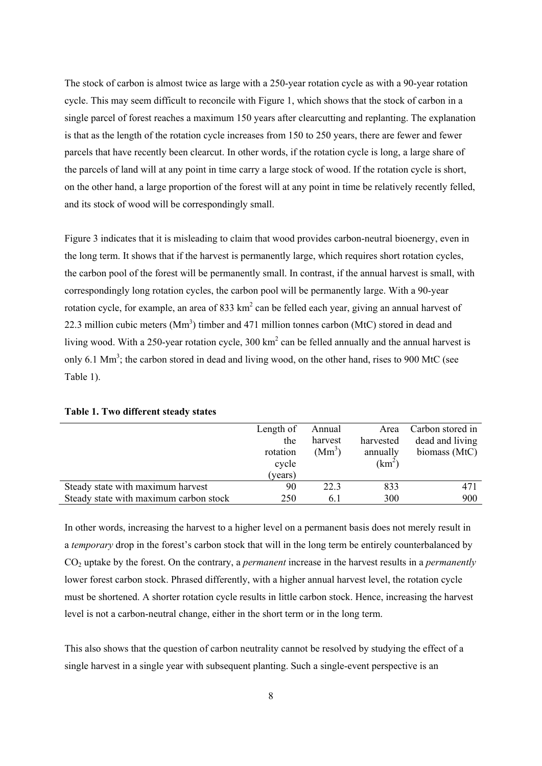The stock of carbon is almost twice as large with a 250-year rotation cycle as with a 90-year rotation cycle. This may seem difficult to reconcile with Figure 1, which shows that the stock of carbon in a single parcel of forest reaches a maximum 150 years after clearcutting and replanting. The explanation is that as the length of the rotation cycle increases from 150 to 250 years, there are fewer and fewer parcels that have recently been clearcut. In other words, if the rotation cycle is long, a large share of the parcels of land will at any point in time carry a large stock of wood. If the rotation cycle is short, on the other hand, a large proportion of the forest will at any point in time be relatively recently felled, and its stock of wood will be correspondingly small.

Figure 3 indicates that it is misleading to claim that wood provides carbon-neutral bioenergy, even in the long term. It shows that if the harvest is permanently large, which requires short rotation cycles, the carbon pool of the forest will be permanently small. In contrast, if the annual harvest is small, with correspondingly long rotation cycles, the carbon pool will be permanently large. With a 90-year rotation cycle, for example, an area of 833  $km^2$  can be felled each year, giving an annual harvest of 22.3 million cubic meters  $(Mm<sup>3</sup>)$  timber and 471 million tonnes carbon (MtC) stored in dead and living wood. With a 250-year rotation cycle,  $300 \text{ km}^2$  can be felled annually and the annual harvest is only 6.1  $\text{Mm}^3$ ; the carbon stored in dead and living wood, on the other hand, rises to 900 MtC (see Table 1).

|                                        | Length of | Annual   | Area      | Carbon stored in |
|----------------------------------------|-----------|----------|-----------|------------------|
|                                        | the       | harvest  | harvested | dead and living  |
|                                        | rotation  | $(Mm^3)$ | annually  | biomass (MtC)    |
|                                        | cycle     |          | $(km^2)$  |                  |
|                                        | (vears)   |          |           |                  |
| Steady state with maximum harvest      | 90        | 22.3     | 833       | 471              |
| Steady state with maximum carbon stock | 250       | 6.1      | 300       | 900              |

**Table 1. Two different steady states** 

In other words, increasing the harvest to a higher level on a permanent basis does not merely result in a *temporary* drop in the forest's carbon stock that will in the long term be entirely counterbalanced by CO2 uptake by the forest. On the contrary, a *permanent* increase in the harvest results in a *permanently* lower forest carbon stock. Phrased differently, with a higher annual harvest level, the rotation cycle must be shortened. A shorter rotation cycle results in little carbon stock. Hence, increasing the harvest level is not a carbon-neutral change, either in the short term or in the long term.

This also shows that the question of carbon neutrality cannot be resolved by studying the effect of a single harvest in a single year with subsequent planting. Such a single-event perspective is an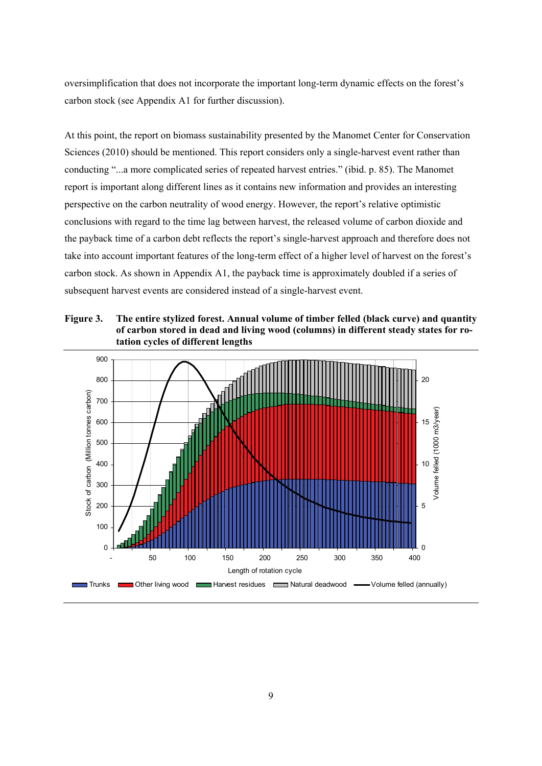oversimplification that does not incorporate the important long-term dynamic effects on the forest's carbon stock (see Appendix A1 for further discussion).

At this point, the report on biomass sustainability presented by the Manomet Center for Conservation Sciences (2010) should be mentioned. This report considers only a single-harvest event rather than conducting "...a more complicated series of repeated harvest entries." (ibid. p. 85). The Manomet report is important along different lines as it contains new information and provides an interesting perspective on the carbon neutrality of wood energy. However, the report's relative optimistic conclusions with regard to the time lag between harvest, the released volume of carbon dioxide and the payback time of a carbon debt reflects the report's single-harvest approach and therefore does not take into account important features of the long-term effect of a higher level of harvest on the forest's carbon stock. As shown in Appendix A1, the payback time is approximately doubled if a series of subsequent harvest events are considered instead of a single-harvest event.

**Figure 3. The entire stylized forest. Annual volume of timber felled (black curve) and quantity of carbon stored in dead and living wood (columns) in different steady states for rotation cycles of different lengths** 

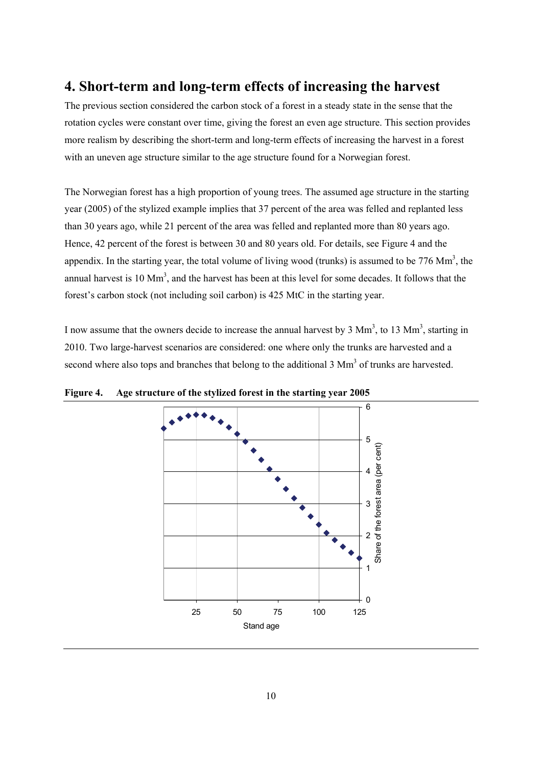## **4. Short-term and long-term effects of increasing the harvest**

The previous section considered the carbon stock of a forest in a steady state in the sense that the rotation cycles were constant over time, giving the forest an even age structure. This section provides more realism by describing the short-term and long-term effects of increasing the harvest in a forest with an uneven age structure similar to the age structure found for a Norwegian forest.

The Norwegian forest has a high proportion of young trees. The assumed age structure in the starting year (2005) of the stylized example implies that 37 percent of the area was felled and replanted less than 30 years ago, while 21 percent of the area was felled and replanted more than 80 years ago. Hence, 42 percent of the forest is between 30 and 80 years old. For details, see Figure 4 and the appendix. In the starting year, the total volume of living wood (trunks) is assumed to be  $776 \text{ Mm}^3$ , the annual harvest is 10  $\text{Mm}^3$ , and the harvest has been at this level for some decades. It follows that the forest's carbon stock (not including soil carbon) is 425 MtC in the starting year.

I now assume that the owners decide to increase the annual harvest by  $3 \text{ Mm}^3$ , to  $13 \text{ Mm}^3$ , starting in 2010. Two large-harvest scenarios are considered: one where only the trunks are harvested and a second where also tops and branches that belong to the additional  $3 \text{ Mm}^3$  of trunks are harvested.



**Figure 4. Age structure of the stylized forest in the starting year 2005**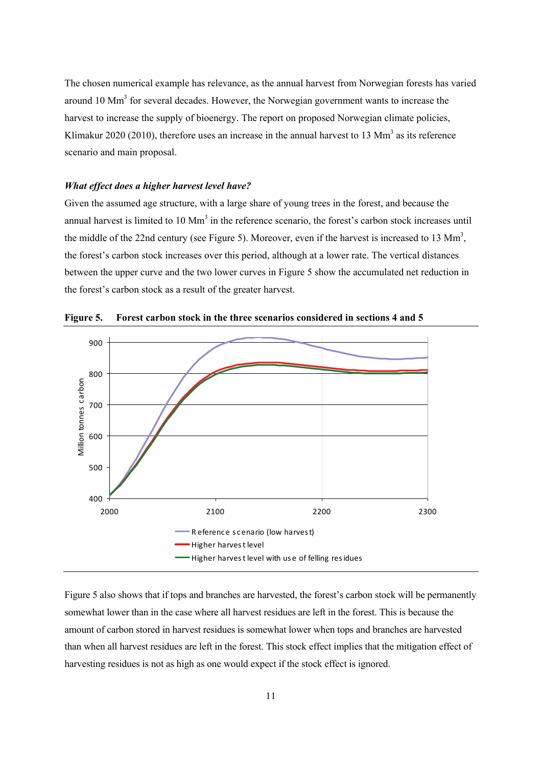The chosen numerical example has relevance, as the annual harvest from Norwegian forests has varied around 10  $\text{Mm}^3$  for several decades. However, the Norwegian government wants to increase the harvest to increase the supply of bioenergy. The report on proposed Norwegian climate policies, Klimakur 2020 (2010), therefore uses an increase in the annual harvest to 13  $\text{Mm}^3$  as its reference scenario and main proposal.

#### *What effect does a higher harvest level have?*

Given the assumed age structure, with a large share of young trees in the forest, and because the annual harvest is limited to 10 Mm<sup>3</sup> in the reference scenario, the forest's carbon stock increases until the middle of the 22nd century (see Figure 5). Moreover, even if the harvest is increased to 13  $\text{Mm}^3$ , the forest's carbon stock increases over this period, although at a lower rate. The vertical distances between the upper curve and the two lower curves in Figure 5 show the accumulated net reduction in the forest's carbon stock as a result of the greater harvest.



**Figure 5. Forest carbon stock in the three scenarios considered in sections 4 and 5** 

Figure 5 also shows that if tops and branches are harvested, the forest's carbon stock will be permanently somewhat lower than in the case where all harvest residues are left in the forest. This is because the amount of carbon stored in harvest residues is somewhat lower when tops and branches are harvested than when all harvest residues are left in the forest. This stock effect implies that the mitigation effect of harvesting residues is not as high as one would expect if the stock effect is ignored.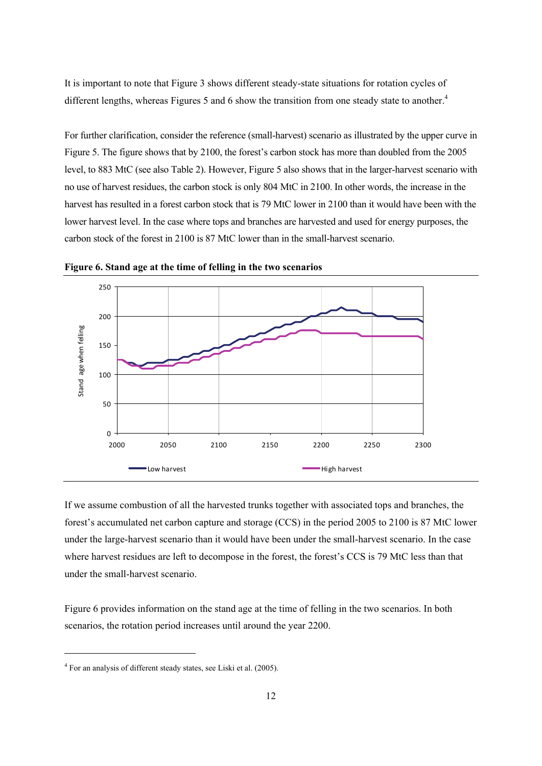It is important to note that Figure 3 shows different steady-state situations for rotation cycles of different lengths, whereas Figures 5 and 6 show the transition from one steady state to another.<sup>4</sup>

For further clarification, consider the reference (small-harvest) scenario as illustrated by the upper curve in Figure 5. The figure shows that by 2100, the forest's carbon stock has more than doubled from the 2005 level, to 883 MtC (see also Table 2). However, Figure 5 also shows that in the larger-harvest scenario with no use of harvest residues, the carbon stock is only 804 MtC in 2100. In other words, the increase in the harvest has resulted in a forest carbon stock that is 79 MtC lower in 2100 than it would have been with the lower harvest level. In the case where tops and branches are harvested and used for energy purposes, the carbon stock of the forest in 2100 is 87 MtC lower than in the small-harvest scenario.



**Figure 6. Stand age at the time of felling in the two scenarios** 

If we assume combustion of all the harvested trunks together with associated tops and branches, the forest's accumulated net carbon capture and storage (CCS) in the period 2005 to 2100 is 87 MtC lower under the large-harvest scenario than it would have been under the small-harvest scenario. In the case where harvest residues are left to decompose in the forest, the forest's CCS is 79 MtC less than that under the small-harvest scenario.

Figure 6 provides information on the stand age at the time of felling in the two scenarios. In both scenarios, the rotation period increases until around the year 2200.

1

<sup>&</sup>lt;sup>4</sup> For an analysis of different steady states, see Liski et al. (2005).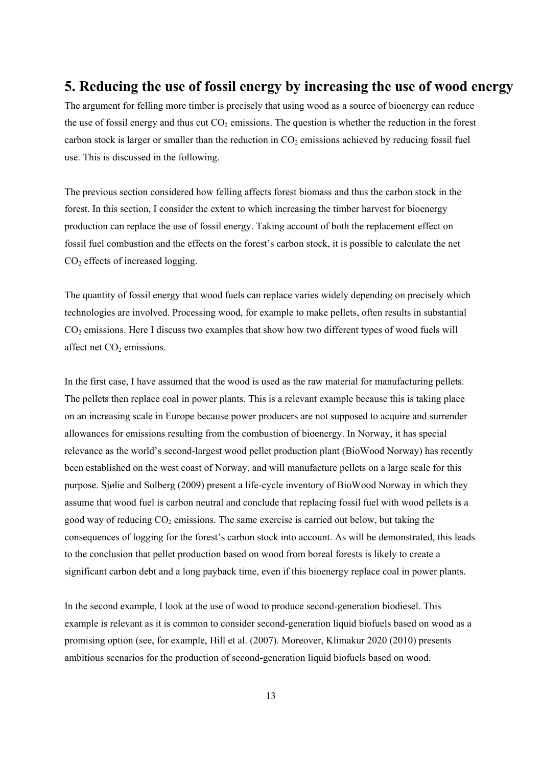## **5. Reducing the use of fossil energy by increasing the use of wood energy**

The argument for felling more timber is precisely that using wood as a source of bioenergy can reduce the use of fossil energy and thus cut  $CO<sub>2</sub>$  emissions. The question is whether the reduction in the forest carbon stock is larger or smaller than the reduction in  $CO<sub>2</sub>$  emissions achieved by reducing fossil fuel use. This is discussed in the following.

The previous section considered how felling affects forest biomass and thus the carbon stock in the forest. In this section, I consider the extent to which increasing the timber harvest for bioenergy production can replace the use of fossil energy. Taking account of both the replacement effect on fossil fuel combustion and the effects on the forest's carbon stock, it is possible to calculate the net CO2 effects of increased logging.

The quantity of fossil energy that wood fuels can replace varies widely depending on precisely which technologies are involved. Processing wood, for example to make pellets, often results in substantial CO2 emissions. Here I discuss two examples that show how two different types of wood fuels will affect net  $CO<sub>2</sub>$  emissions.

In the first case, I have assumed that the wood is used as the raw material for manufacturing pellets. The pellets then replace coal in power plants. This is a relevant example because this is taking place on an increasing scale in Europe because power producers are not supposed to acquire and surrender allowances for emissions resulting from the combustion of bioenergy. In Norway, it has special relevance as the world's second-largest wood pellet production plant (BioWood Norway) has recently been established on the west coast of Norway, and will manufacture pellets on a large scale for this purpose. Sjølie and Solberg (2009) present a life-cycle inventory of BioWood Norway in which they assume that wood fuel is carbon neutral and conclude that replacing fossil fuel with wood pellets is a good way of reducing  $CO<sub>2</sub>$  emissions. The same exercise is carried out below, but taking the consequences of logging for the forest's carbon stock into account. As will be demonstrated, this leads to the conclusion that pellet production based on wood from boreal forests is likely to create a significant carbon debt and a long payback time, even if this bioenergy replace coal in power plants.

In the second example, I look at the use of wood to produce second-generation biodiesel. This example is relevant as it is common to consider second-generation liquid biofuels based on wood as a promising option (see, for example, Hill et al. (2007). Moreover, Klimakur 2020 (2010) presents ambitious scenarios for the production of second-generation liquid biofuels based on wood.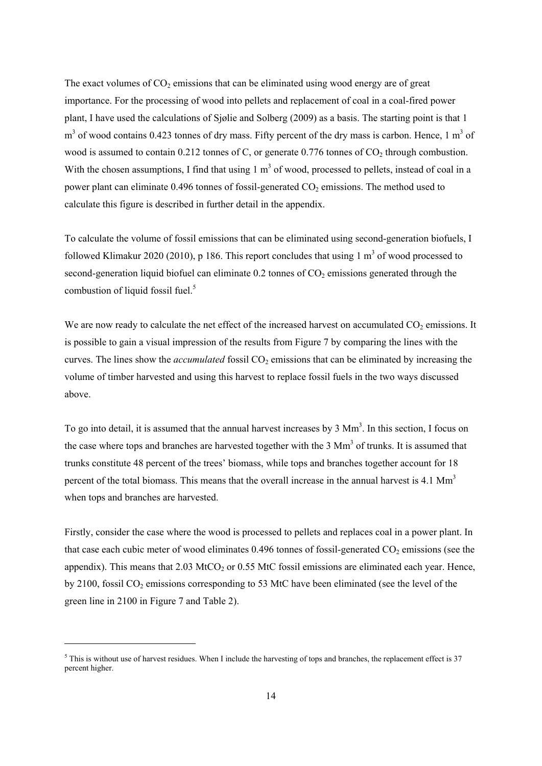The exact volumes of  $CO<sub>2</sub>$  emissions that can be eliminated using wood energy are of great importance. For the processing of wood into pellets and replacement of coal in a coal-fired power plant, I have used the calculations of Sjølie and Solberg (2009) as a basis. The starting point is that 1  $m<sup>3</sup>$  of wood contains 0.423 tonnes of dry mass. Fifty percent of the dry mass is carbon. Hence, 1  $m<sup>3</sup>$  of wood is assumed to contain 0.212 tonnes of C, or generate 0.776 tonnes of  $CO<sub>2</sub>$  through combustion. With the chosen assumptions, I find that using  $1 \text{ m}^3$  of wood, processed to pellets, instead of coal in a power plant can eliminate  $0.496$  tonnes of fossil-generated  $CO<sub>2</sub>$  emissions. The method used to calculate this figure is described in further detail in the appendix.

To calculate the volume of fossil emissions that can be eliminated using second-generation biofuels, I followed Klimakur 2020 (2010), p 186. This report concludes that using 1  $m<sup>3</sup>$  of wood processed to second-generation liquid biofuel can eliminate  $0.2$  tonnes of  $CO<sub>2</sub>$  emissions generated through the combustion of liquid fossil fuel.<sup>5</sup>

We are now ready to calculate the net effect of the increased harvest on accumulated  $CO<sub>2</sub>$  emissions. It is possible to gain a visual impression of the results from Figure 7 by comparing the lines with the curves. The lines show the *accumulated* fossil CO<sub>2</sub> emissions that can be eliminated by increasing the volume of timber harvested and using this harvest to replace fossil fuels in the two ways discussed above.

To go into detail, it is assumed that the annual harvest increases by 3 Mm<sup>3</sup>. In this section, I focus on the case where tops and branches are harvested together with the  $3 \text{ Mm}^3$  of trunks. It is assumed that trunks constitute 48 percent of the trees' biomass, while tops and branches together account for 18 percent of the total biomass. This means that the overall increase in the annual harvest is 4.1  $\text{Mm}^3$ when tops and branches are harvested.

Firstly, consider the case where the wood is processed to pellets and replaces coal in a power plant. In that case each cubic meter of wood eliminates  $0.496$  tonnes of fossil-generated CO<sub>2</sub> emissions (see the appendix). This means that  $2.03 \text{ MtCO}_2$  or 0.55 MtC fossil emissions are eliminated each year. Hence, by  $2100$ , fossil CO<sub>2</sub> emissions corresponding to 53 MtC have been eliminated (see the level of the green line in 2100 in Figure 7 and Table 2).

1

 $<sup>5</sup>$  This is without use of harvest residues. When I include the harvesting of tops and branches, the replacement effect is 37</sup> percent higher.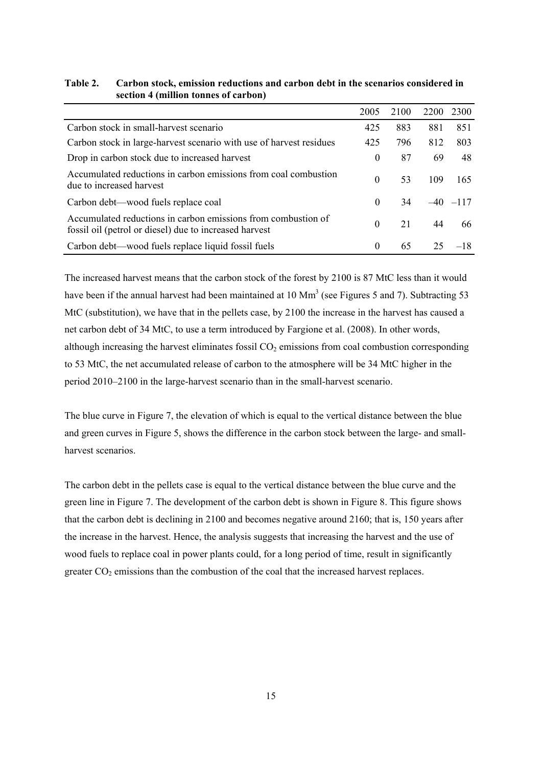|                                                                                                                         | 2005     | 2100 | 2200 | 2300         |
|-------------------------------------------------------------------------------------------------------------------------|----------|------|------|--------------|
|                                                                                                                         |          |      |      |              |
| Carbon stock in small-harvest scenario                                                                                  | 425      | 883  | 881  | 851          |
| Carbon stock in large-harvest scenario with use of harvest residues                                                     | 425      | 796  | 812  | 803          |
| Drop in carbon stock due to increased harvest                                                                           | $\theta$ | 87   | 69   | 48           |
| Accumulated reductions in carbon emissions from coal combustion<br>due to increased harvest                             | $\Omega$ | 53   | 109  | 165          |
| Carbon debt—wood fuels replace coal                                                                                     | $\Omega$ | 34   |      | $-40$ $-117$ |
| Accumulated reductions in carbon emissions from combustion of<br>fossil oil (petrol or diesel) due to increased harvest | $\Omega$ | 21   | 44   | 66           |
| Carbon debt—wood fuels replace liquid fossil fuels                                                                      | 0        | 65   | 25   | $-18$        |

### **Table 2. Carbon stock, emission reductions and carbon debt in the scenarios considered in section 4 (million tonnes of carbon)**

The increased harvest means that the carbon stock of the forest by 2100 is 87 MtC less than it would have been if the annual harvest had been maintained at 10  $\text{Mm}^3$  (see Figures 5 and 7). Subtracting 53 MtC (substitution), we have that in the pellets case, by 2100 the increase in the harvest has caused a net carbon debt of 34 MtC, to use a term introduced by Fargione et al. (2008). In other words, although increasing the harvest eliminates fossil  $CO<sub>2</sub>$  emissions from coal combustion corresponding to 53 MtC, the net accumulated release of carbon to the atmosphere will be 34 MtC higher in the period 2010–2100 in the large-harvest scenario than in the small-harvest scenario.

The blue curve in Figure 7, the elevation of which is equal to the vertical distance between the blue and green curves in Figure 5, shows the difference in the carbon stock between the large- and smallharvest scenarios.

The carbon debt in the pellets case is equal to the vertical distance between the blue curve and the green line in Figure 7. The development of the carbon debt is shown in Figure 8. This figure shows that the carbon debt is declining in 2100 and becomes negative around 2160; that is, 150 years after the increase in the harvest. Hence, the analysis suggests that increasing the harvest and the use of wood fuels to replace coal in power plants could, for a long period of time, result in significantly greater  $CO<sub>2</sub>$  emissions than the combustion of the coal that the increased harvest replaces.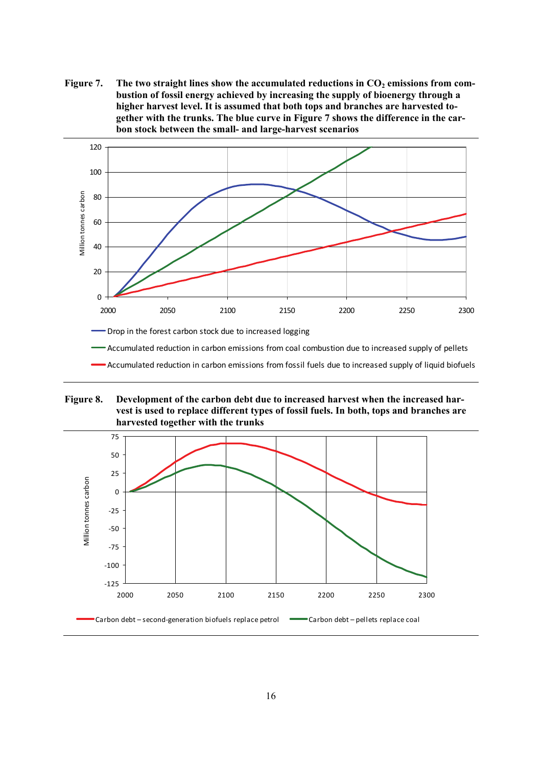Figure 7. The two straight lines show the accumulated reductions in CO<sub>2</sub> emissions from com**bustion of fossil energy achieved by increasing the supply of bioenergy through a higher harvest level. It is assumed that both tops and branches are harvested together with the trunks. The blue curve in Figure 7 shows the difference in the carbon stock between the small- and large-harvest scenarios** 



Accumulated reduction in carbon emissions from fossil fuels due to increased supply of liquid biofuels

**Figure 8. Development of the carbon debt due to increased harvest when the increased harvest is used to replace different types of fossil fuels. In both, tops and branches are harvested together with the trunks** 

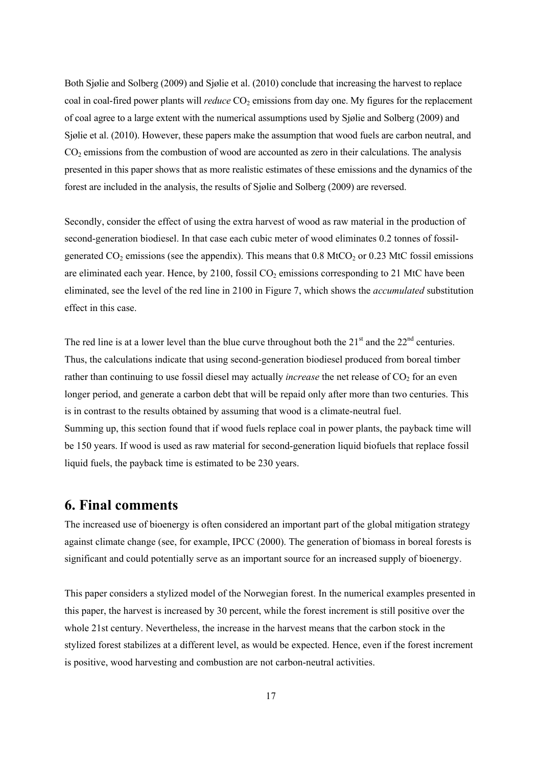Both Sjølie and Solberg (2009) and Sjølie et al. (2010) conclude that increasing the harvest to replace coal in coal-fired power plants will *reduce* CO<sub>2</sub> emissions from day one. My figures for the replacement of coal agree to a large extent with the numerical assumptions used by Sjølie and Solberg (2009) and Sjølie et al. (2010). However, these papers make the assumption that wood fuels are carbon neutral, and CO2 emissions from the combustion of wood are accounted as zero in their calculations. The analysis presented in this paper shows that as more realistic estimates of these emissions and the dynamics of the forest are included in the analysis, the results of Sjølie and Solberg (2009) are reversed.

Secondly, consider the effect of using the extra harvest of wood as raw material in the production of second-generation biodiesel. In that case each cubic meter of wood eliminates 0.2 tonnes of fossilgenerated  $CO<sub>2</sub>$  emissions (see the appendix). This means that 0.8 MtCO<sub>2</sub> or 0.23 MtC fossil emissions are eliminated each year. Hence, by  $2100$ , fossil  $CO<sub>2</sub>$  emissions corresponding to  $21$  MtC have been eliminated, see the level of the red line in 2100 in Figure 7, which shows the *accumulated* substitution effect in this case.

The red line is at a lower level than the blue curve throughout both the  $21<sup>st</sup>$  and the  $22<sup>nd</sup>$  centuries. Thus, the calculations indicate that using second-generation biodiesel produced from boreal timber rather than continuing to use fossil diesel may actually *increase* the net release of CO<sub>2</sub> for an even longer period, and generate a carbon debt that will be repaid only after more than two centuries. This is in contrast to the results obtained by assuming that wood is a climate-neutral fuel. Summing up, this section found that if wood fuels replace coal in power plants, the payback time will be 150 years. If wood is used as raw material for second-generation liquid biofuels that replace fossil liquid fuels, the payback time is estimated to be 230 years.

### **6. Final comments**

The increased use of bioenergy is often considered an important part of the global mitigation strategy against climate change (see, for example, IPCC (2000). The generation of biomass in boreal forests is significant and could potentially serve as an important source for an increased supply of bioenergy.

This paper considers a stylized model of the Norwegian forest. In the numerical examples presented in this paper, the harvest is increased by 30 percent, while the forest increment is still positive over the whole 21st century. Nevertheless, the increase in the harvest means that the carbon stock in the stylized forest stabilizes at a different level, as would be expected. Hence, even if the forest increment is positive, wood harvesting and combustion are not carbon-neutral activities.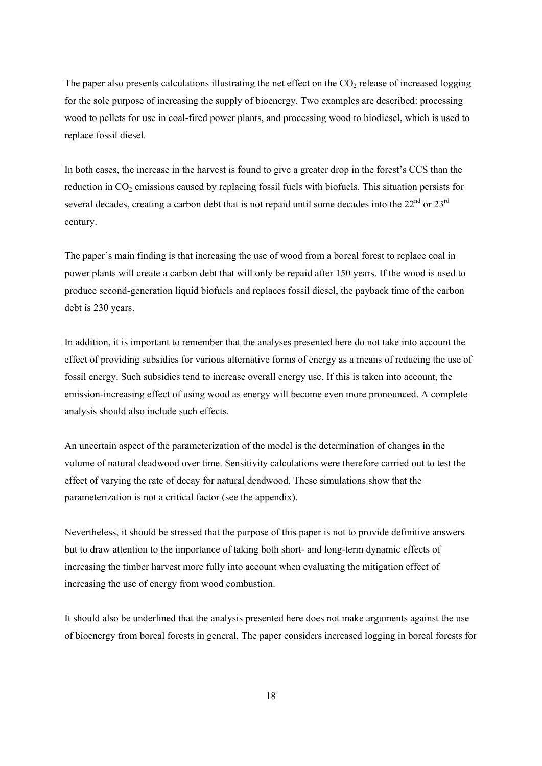The paper also presents calculations illustrating the net effect on the  $CO<sub>2</sub>$  release of increased logging for the sole purpose of increasing the supply of bioenergy. Two examples are described: processing wood to pellets for use in coal-fired power plants, and processing wood to biodiesel, which is used to replace fossil diesel.

In both cases, the increase in the harvest is found to give a greater drop in the forest's CCS than the reduction in  $CO<sub>2</sub>$  emissions caused by replacing fossil fuels with biofuels. This situation persists for several decades, creating a carbon debt that is not repaid until some decades into the 22<sup>nd</sup> or 23<sup>rd</sup> century.

The paper's main finding is that increasing the use of wood from a boreal forest to replace coal in power plants will create a carbon debt that will only be repaid after 150 years. If the wood is used to produce second-generation liquid biofuels and replaces fossil diesel, the payback time of the carbon debt is 230 years.

In addition, it is important to remember that the analyses presented here do not take into account the effect of providing subsidies for various alternative forms of energy as a means of reducing the use of fossil energy. Such subsidies tend to increase overall energy use. If this is taken into account, the emission-increasing effect of using wood as energy will become even more pronounced. A complete analysis should also include such effects.

An uncertain aspect of the parameterization of the model is the determination of changes in the volume of natural deadwood over time. Sensitivity calculations were therefore carried out to test the effect of varying the rate of decay for natural deadwood. These simulations show that the parameterization is not a critical factor (see the appendix).

Nevertheless, it should be stressed that the purpose of this paper is not to provide definitive answers but to draw attention to the importance of taking both short- and long-term dynamic effects of increasing the timber harvest more fully into account when evaluating the mitigation effect of increasing the use of energy from wood combustion.

It should also be underlined that the analysis presented here does not make arguments against the use of bioenergy from boreal forests in general. The paper considers increased logging in boreal forests for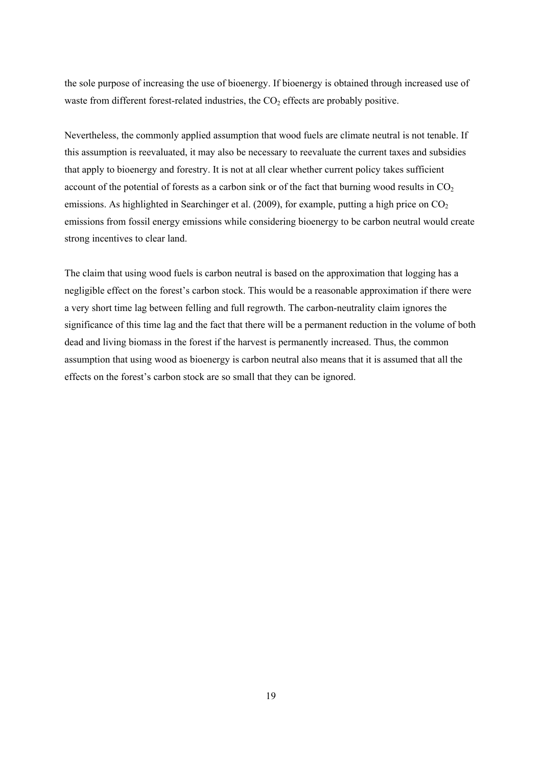the sole purpose of increasing the use of bioenergy. If bioenergy is obtained through increased use of waste from different forest-related industries, the  $CO<sub>2</sub>$  effects are probably positive.

Nevertheless, the commonly applied assumption that wood fuels are climate neutral is not tenable. If this assumption is reevaluated, it may also be necessary to reevaluate the current taxes and subsidies that apply to bioenergy and forestry. It is not at all clear whether current policy takes sufficient account of the potential of forests as a carbon sink or of the fact that burning wood results in  $CO<sub>2</sub>$ emissions. As highlighted in Searchinger et al. (2009), for example, putting a high price on  $CO<sub>2</sub>$ emissions from fossil energy emissions while considering bioenergy to be carbon neutral would create strong incentives to clear land.

The claim that using wood fuels is carbon neutral is based on the approximation that logging has a negligible effect on the forest's carbon stock. This would be a reasonable approximation if there were a very short time lag between felling and full regrowth. The carbon-neutrality claim ignores the significance of this time lag and the fact that there will be a permanent reduction in the volume of both dead and living biomass in the forest if the harvest is permanently increased. Thus, the common assumption that using wood as bioenergy is carbon neutral also means that it is assumed that all the effects on the forest's carbon stock are so small that they can be ignored.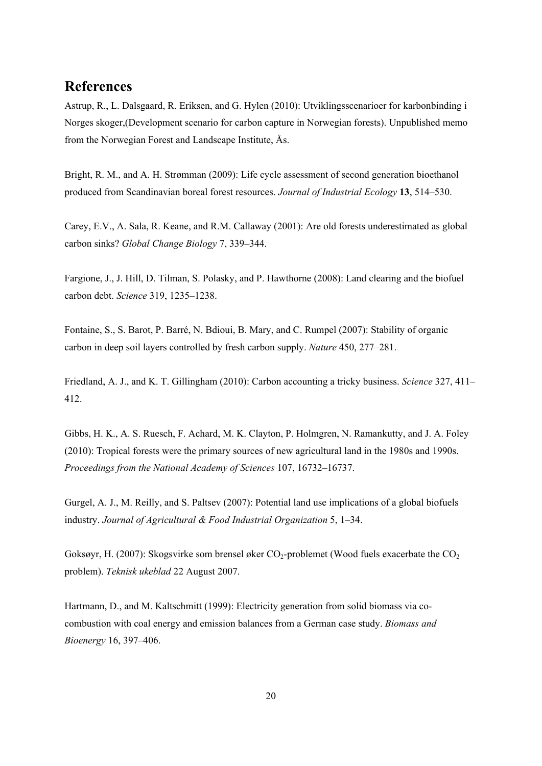# **References**

Astrup, R., L. Dalsgaard, R. Eriksen, and G. Hylen (2010): Utviklingsscenarioer for karbonbinding i Norges skoger,(Development scenario for carbon capture in Norwegian forests). Unpublished memo from the Norwegian Forest and Landscape Institute, Ås.

Bright, R. M., and A. H. Strømman (2009): Life cycle assessment of second generation bioethanol produced from Scandinavian boreal forest resources. *Journal of Industrial Ecology* **13**, 514–530.

Carey, E.V., A. Sala, R. Keane, and R.M. Callaway (2001): Are old forests underestimated as global carbon sinks? *Global Change Biology* 7, 339–344.

Fargione, J., J. Hill, D. Tilman, S. Polasky, and P. Hawthorne (2008): Land clearing and the biofuel carbon debt. *Science* 319, 1235–1238.

Fontaine, S., S. Barot, P. Barré, N. Bdioui, B. Mary, and C. Rumpel (2007): Stability of organic carbon in deep soil layers controlled by fresh carbon supply. *Nature* 450, 277–281.

Friedland, A. J., and K. T. Gillingham (2010): Carbon accounting a tricky business. *Science* 327, 411– 412.

Gibbs, H. K., A. S. Ruesch, F. Achard, M. K. Clayton, P. Holmgren, N. Ramankutty, and J. A. Foley (2010): Tropical forests were the primary sources of new agricultural land in the 1980s and 1990s. *Proceedings from the National Academy of Sciences* 107, 16732–16737.

Gurgel, A. J., M. Reilly, and S. Paltsev (2007): Potential land use implications of a global biofuels industry. *Journal of Agricultural & Food Industrial Organization* 5, 1–34.

Goksøyr, H. (2007): Skogsvirke som brensel øker  $CO_2$ -problemet (Wood fuels exacerbate the  $CO_2$ problem). *Teknisk ukeblad* 22 August 2007.

Hartmann, D., and M. Kaltschmitt (1999): Electricity generation from solid biomass via cocombustion with coal energy and emission balances from a German case study. *Biomass and Bioenergy* 16, 397–406.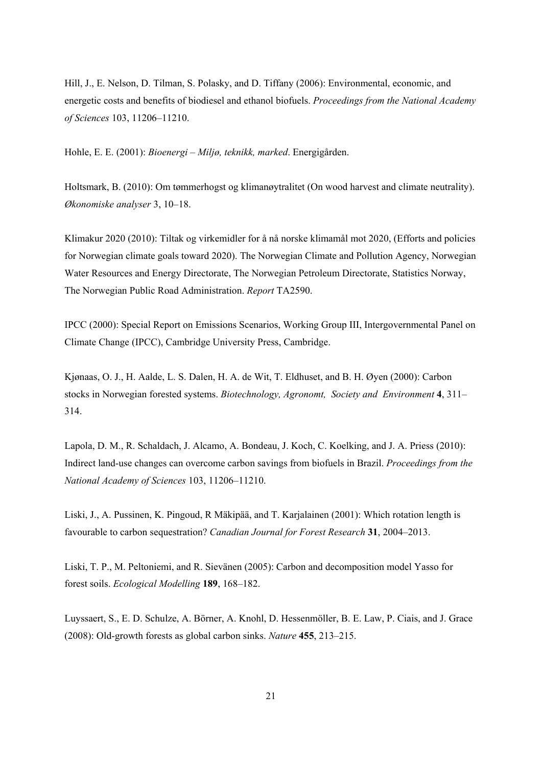Hill, J., E. Nelson, D. Tilman, S. Polasky, and D. Tiffany (2006): Environmental, economic, and energetic costs and benefits of biodiesel and ethanol biofuels. *Proceedings from the National Academy of Sciences* 103, 11206–11210.

Hohle, E. E. (2001): *Bioenergi – Miljø, teknikk, marked*. Energigården.

Holtsmark, B. (2010): Om tømmerhogst og klimanøytralitet (On wood harvest and climate neutrality). *Økonomiske analyser* 3, 10–18.

Klimakur 2020 (2010): Tiltak og virkemidler for å nå norske klimamål mot 2020, (Efforts and policies for Norwegian climate goals toward 2020). The Norwegian Climate and Pollution Agency, Norwegian Water Resources and Energy Directorate, The Norwegian Petroleum Directorate, Statistics Norway, The Norwegian Public Road Administration. *Report* TA2590.

IPCC (2000): Special Report on Emissions Scenarios, Working Group III, Intergovernmental Panel on Climate Change (IPCC), Cambridge University Press, Cambridge.

Kjønaas, O. J., H. Aalde, L. S. Dalen, H. A. de Wit, T. Eldhuset, and B. H. Øyen (2000): Carbon stocks in Norwegian forested systems. *Biotechnology, Agronomt, Society and Environment* **4**, 311– 314.

Lapola, D. M., R. Schaldach, J. Alcamo, A. Bondeau, J. Koch, C. Koelking, and J. A. Priess (2010): Indirect land-use changes can overcome carbon savings from biofuels in Brazil. *Proceedings from the National Academy of Sciences* 103, 11206–11210.

Liski, J., A. Pussinen, K. Pingoud, R Mäkipää, and T. Karjalainen (2001): Which rotation length is favourable to carbon sequestration? *Canadian Journal for Forest Research* **31**, 2004–2013.

Liski, T. P., M. Peltoniemi, and R. Sievänen (2005): Carbon and decomposition model Yasso for forest soils. *Ecological Modelling* **189**, 168–182.

Luyssaert, S., E. D. Schulze, A. Börner, A. Knohl, D. Hessenmöller, B. E. Law, P. Ciais, and J. Grace (2008): Old-growth forests as global carbon sinks. *Nature* **455**, 213–215.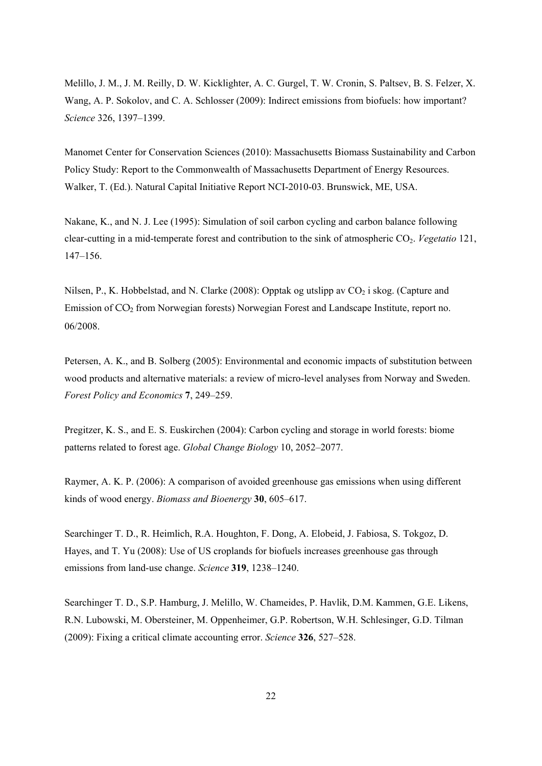Melillo, J. M., J. M. Reilly, D. W. Kicklighter, A. C. Gurgel, T. W. Cronin, S. Paltsev, B. S. Felzer, X. Wang, A. P. Sokolov, and C. A. Schlosser (2009): Indirect emissions from biofuels: how important? *Science* 326, 1397–1399.

Manomet Center for Conservation Sciences (2010): Massachusetts Biomass Sustainability and Carbon Policy Study: Report to the Commonwealth of Massachusetts Department of Energy Resources. Walker, T. (Ed.). Natural Capital Initiative Report NCI-2010-03. Brunswick, ME, USA.

Nakane, K., and N. J. Lee (1995): Simulation of soil carbon cycling and carbon balance following clear-cutting in a mid-temperate forest and contribution to the sink of atmospheric CO2. *Vegetatio* 121, 147–156.

Nilsen, P., K. Hobbelstad, and N. Clarke (2008): Opptak og utslipp av  $CO_2$  i skog. (Capture and Emission of CO2 from Norwegian forests) Norwegian Forest and Landscape Institute, report no. 06/2008.

Petersen, A. K., and B. Solberg (2005): Environmental and economic impacts of substitution between wood products and alternative materials: a review of micro-level analyses from Norway and Sweden. *Forest Policy and Economics* **7**, 249–259.

Pregitzer, K. S., and E. S. Euskirchen (2004): Carbon cycling and storage in world forests: biome patterns related to forest age. *Global Change Biology* 10, 2052–2077.

Raymer, A. K. P. (2006): A comparison of avoided greenhouse gas emissions when using different kinds of wood energy. *Biomass and Bioenergy* **30**, 605–617.

Searchinger T. D., R. Heimlich, R.A. Houghton, F. Dong, A. Elobeid, J. Fabiosa, S. Tokgoz, D. Hayes, and T. Yu (2008): Use of US croplands for biofuels increases greenhouse gas through emissions from land-use change. *Science* **319**, 1238–1240.

Searchinger T. D., S.P. Hamburg, J. Melillo, W. Chameides, P. Havlik, D.M. Kammen, G.E. Likens, R.N. Lubowski, M. Obersteiner, M. Oppenheimer, G.P. Robertson, W.H. Schlesinger, G.D. Tilman (2009): Fixing a critical climate accounting error. *Science* **326**, 527–528.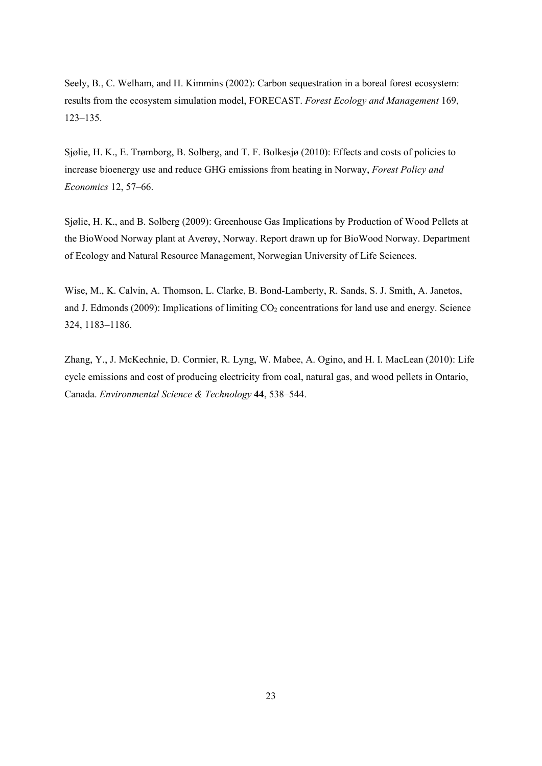Seely, B., C. Welham, and H. Kimmins (2002): Carbon sequestration in a boreal forest ecosystem: results from the ecosystem simulation model, FORECAST. *Forest Ecology and Management* 169, 123–135.

Sjølie, H. K., E. Trømborg, B. Solberg, and T. F. Bolkesjø (2010): Effects and costs of policies to increase bioenergy use and reduce GHG emissions from heating in Norway, *Forest Policy and Economics* 12, 57–66.

Sjølie, H. K., and B. Solberg (2009): Greenhouse Gas Implications by Production of Wood Pellets at the BioWood Norway plant at Averøy, Norway. Report drawn up for BioWood Norway. Department of Ecology and Natural Resource Management, Norwegian University of Life Sciences.

Wise, M., K. Calvin, A. Thomson, L. Clarke, B. Bond-Lamberty, R. Sands, S. J. Smith, A. Janetos, and J. Edmonds (2009): Implications of limiting  $CO<sub>2</sub>$  concentrations for land use and energy. Science 324, 1183–1186.

Zhang, Y., J. McKechnie, D. Cormier, R. Lyng, W. Mabee, A. Ogino, and H. I. MacLean (2010): Life cycle emissions and cost of producing electricity from coal, natural gas, and wood pellets in Ontario, Canada. *Environmental Science & Technology* **44**, 538–544.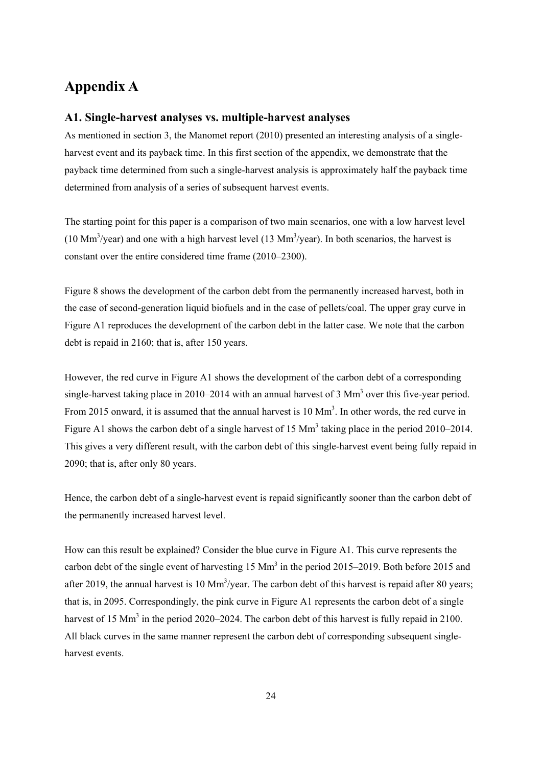## **Appendix A**

### **A1. Single-harvest analyses vs. multiple-harvest analyses**

As mentioned in section 3, the Manomet report (2010) presented an interesting analysis of a singleharvest event and its payback time. In this first section of the appendix, we demonstrate that the payback time determined from such a single-harvest analysis is approximately half the payback time determined from analysis of a series of subsequent harvest events.

The starting point for this paper is a comparison of two main scenarios, one with a low harvest level  $(10 \text{ Mm}^3/\text{year})$  and one with a high harvest level  $(13 \text{ Mm}^3/\text{year})$ . In both scenarios, the harvest is constant over the entire considered time frame (2010–2300).

Figure 8 shows the development of the carbon debt from the permanently increased harvest, both in the case of second-generation liquid biofuels and in the case of pellets/coal. The upper gray curve in Figure A1 reproduces the development of the carbon debt in the latter case. We note that the carbon debt is repaid in 2160; that is, after 150 years.

However, the red curve in Figure A1 shows the development of the carbon debt of a corresponding single-harvest taking place in 2010–2014 with an annual harvest of  $3 \text{ Mm}^3$  over this five-year period. From 2015 onward, it is assumed that the annual harvest is 10 Mm<sup>3</sup>. In other words, the red curve in Figure A1 shows the carbon debt of a single harvest of 15  $\text{Mm}^3$  taking place in the period 2010–2014. This gives a very different result, with the carbon debt of this single-harvest event being fully repaid in 2090; that is, after only 80 years.

Hence, the carbon debt of a single-harvest event is repaid significantly sooner than the carbon debt of the permanently increased harvest level.

How can this result be explained? Consider the blue curve in Figure A1. This curve represents the carbon debt of the single event of harvesting 15 Mm<sup>3</sup> in the period 2015–2019. Both before 2015 and after 2019, the annual harvest is  $10 \text{ Mm}^3$ /year. The carbon debt of this harvest is repaid after 80 years; that is, in 2095. Correspondingly, the pink curve in Figure A1 represents the carbon debt of a single harvest of 15  $\text{Mm}^3$  in the period 2020–2024. The carbon debt of this harvest is fully repaid in 2100. All black curves in the same manner represent the carbon debt of corresponding subsequent singleharvest events.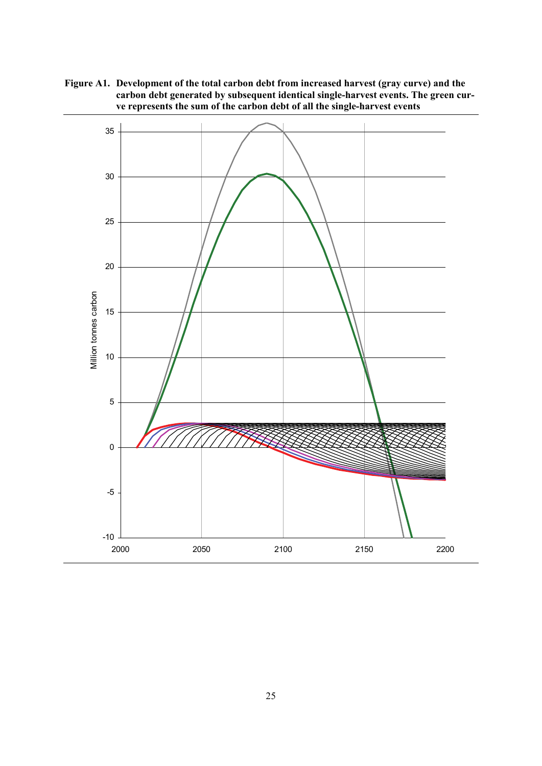**Figure A1. Development of the total carbon debt from increased harvest (gray curve) and the carbon debt generated by subsequent identical single-harvest events. The green curve represents the sum of the carbon debt of all the single-harvest events** 

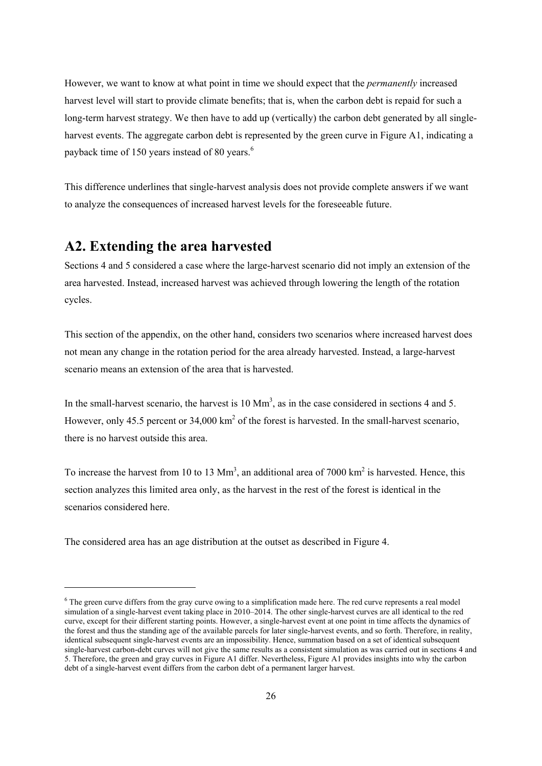However, we want to know at what point in time we should expect that the *permanently* increased harvest level will start to provide climate benefits; that is, when the carbon debt is repaid for such a long-term harvest strategy. We then have to add up (vertically) the carbon debt generated by all singleharvest events. The aggregate carbon debt is represented by the green curve in Figure A1, indicating a payback time of 150 years instead of 80 years.<sup>6</sup>

This difference underlines that single-harvest analysis does not provide complete answers if we want to analyze the consequences of increased harvest levels for the foreseeable future.

### **A2. Extending the area harvested**

1

Sections 4 and 5 considered a case where the large-harvest scenario did not imply an extension of the area harvested. Instead, increased harvest was achieved through lowering the length of the rotation cycles.

This section of the appendix, on the other hand, considers two scenarios where increased harvest does not mean any change in the rotation period for the area already harvested. Instead, a large-harvest scenario means an extension of the area that is harvested.

In the small-harvest scenario, the harvest is  $10 \text{ Mm}^3$ , as in the case considered in sections 4 and 5. However, only 45.5 percent or  $34,000 \text{ km}^2$  of the forest is harvested. In the small-harvest scenario, there is no harvest outside this area.

To increase the harvest from 10 to 13  $\text{Mm}^3$ , an additional area of 7000  $\text{km}^2$  is harvested. Hence, this section analyzes this limited area only, as the harvest in the rest of the forest is identical in the scenarios considered here.

The considered area has an age distribution at the outset as described in Figure 4.

 $6$  The green curve differs from the gray curve owing to a simplification made here. The red curve represents a real model simulation of a single-harvest event taking place in 2010–2014. The other single-harvest curves are all identical to the red curve, except for their different starting points. However, a single-harvest event at one point in time affects the dynamics of the forest and thus the standing age of the available parcels for later single-harvest events, and so forth. Therefore, in reality, identical subsequent single-harvest events are an impossibility. Hence, summation based on a set of identical subsequent single-harvest carbon-debt curves will not give the same results as a consistent simulation as was carried out in sections 4 and 5. Therefore, the green and gray curves in Figure A1 differ. Nevertheless, Figure A1 provides insights into why the carbon debt of a single-harvest event differs from the carbon debt of a permanent larger harvest.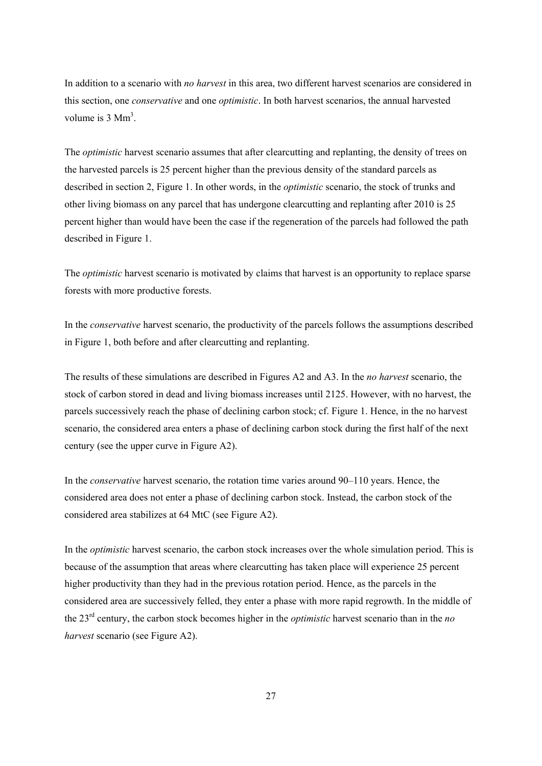In addition to a scenario with *no harvest* in this area, two different harvest scenarios are considered in this section, one *conservative* and one *optimistic*. In both harvest scenarios, the annual harvested volume is  $3 \text{ Mm}^3$ .

The *optimistic* harvest scenario assumes that after clearcutting and replanting, the density of trees on the harvested parcels is 25 percent higher than the previous density of the standard parcels as described in section 2, Figure 1. In other words, in the *optimistic* scenario, the stock of trunks and other living biomass on any parcel that has undergone clearcutting and replanting after 2010 is 25 percent higher than would have been the case if the regeneration of the parcels had followed the path described in Figure 1.

The *optimistic* harvest scenario is motivated by claims that harvest is an opportunity to replace sparse forests with more productive forests.

In the *conservative* harvest scenario, the productivity of the parcels follows the assumptions described in Figure 1, both before and after clearcutting and replanting.

The results of these simulations are described in Figures A2 and A3. In the *no harvest* scenario, the stock of carbon stored in dead and living biomass increases until 2125. However, with no harvest, the parcels successively reach the phase of declining carbon stock; cf. Figure 1. Hence, in the no harvest scenario, the considered area enters a phase of declining carbon stock during the first half of the next century (see the upper curve in Figure A2).

In the *conservative* harvest scenario, the rotation time varies around 90–110 years. Hence, the considered area does not enter a phase of declining carbon stock. Instead, the carbon stock of the considered area stabilizes at 64 MtC (see Figure A2).

In the *optimistic* harvest scenario, the carbon stock increases over the whole simulation period. This is because of the assumption that areas where clearcutting has taken place will experience 25 percent higher productivity than they had in the previous rotation period. Hence, as the parcels in the considered area are successively felled, they enter a phase with more rapid regrowth. In the middle of the 23rd century, the carbon stock becomes higher in the *optimistic* harvest scenario than in the *no harvest* scenario (see Figure A2).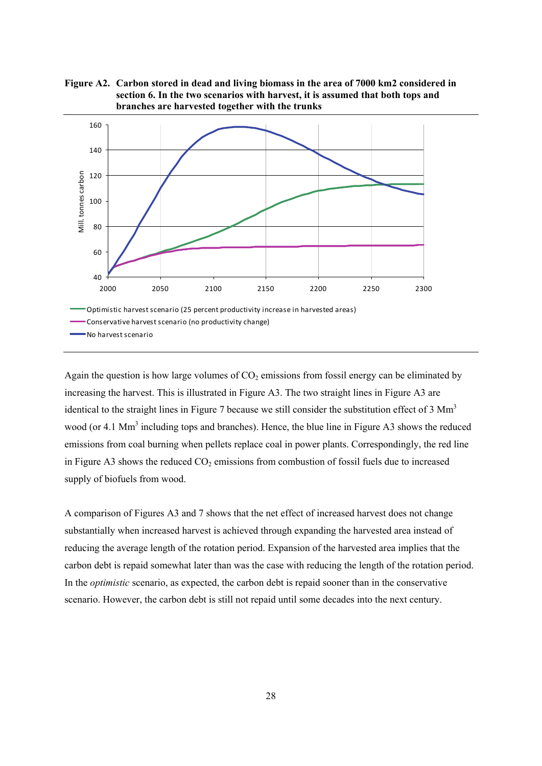



Again the question is how large volumes of  $CO<sub>2</sub>$  emissions from fossil energy can be eliminated by increasing the harvest. This is illustrated in Figure A3. The two straight lines in Figure A3 are identical to the straight lines in Figure 7 because we still consider the substitution effect of 3 Mm<sup>3</sup> wood (or 4.1  $\text{Mm}^3$  including tops and branches). Hence, the blue line in Figure A3 shows the reduced emissions from coal burning when pellets replace coal in power plants. Correspondingly, the red line in Figure A3 shows the reduced  $CO<sub>2</sub>$  emissions from combustion of fossil fuels due to increased supply of biofuels from wood.

A comparison of Figures A3 and 7 shows that the net effect of increased harvest does not change substantially when increased harvest is achieved through expanding the harvested area instead of reducing the average length of the rotation period. Expansion of the harvested area implies that the carbon debt is repaid somewhat later than was the case with reducing the length of the rotation period. In the *optimistic* scenario, as expected, the carbon debt is repaid sooner than in the conservative scenario. However, the carbon debt is still not repaid until some decades into the next century.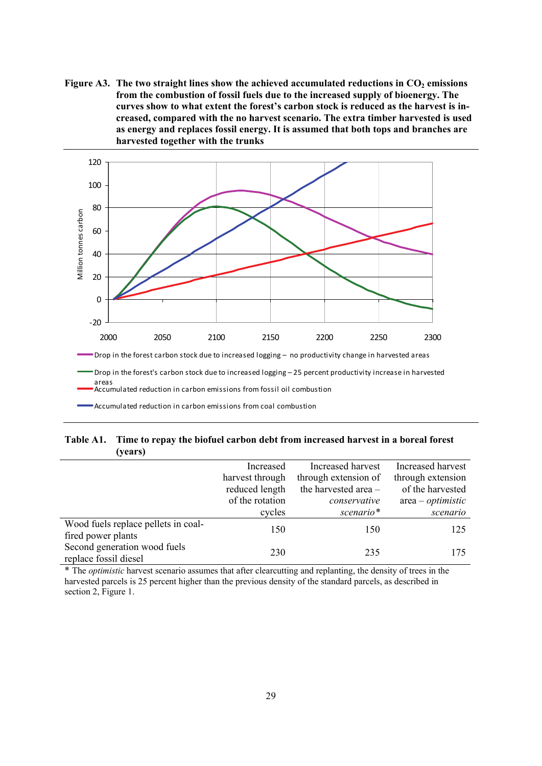Figure A3. The two straight lines show the achieved accumulated reductions in CO<sub>2</sub> emissions **from the combustion of fossil fuels due to the increased supply of bioenergy. The curves show to what extent the forest's carbon stock is reduced as the harvest is increased, compared with the no harvest scenario. The extra timber harvested is used as energy and replaces fossil energy. It is assumed that both tops and branches are harvested together with the trunks** 



Accumulated reduction in carbon emissions from coal combustion

### **Table A1. Time to repay the biofuel carbon debt from increased harvest in a boreal forest (years)**

|                                                           | Increased       | Increased harvest    | Increased harvest   |
|-----------------------------------------------------------|-----------------|----------------------|---------------------|
|                                                           | harvest through | through extension of | through extension   |
|                                                           | reduced length  | the harvested area - | of the harvested    |
|                                                           | of the rotation | conservative         | $area - optimistic$ |
|                                                           | cycles          | scenario*            | scenario            |
| Wood fuels replace pellets in coal-<br>fired power plants | 150             | 150                  | 125                 |
| Second generation wood fuels<br>replace fossil diesel     | 230             | 235                  | 175                 |

\* The *optimistic* harvest scenario assumes that after clearcutting and replanting, the density of trees in the harvested parcels is 25 percent higher than the previous density of the standard parcels, as described in section 2, Figure 1.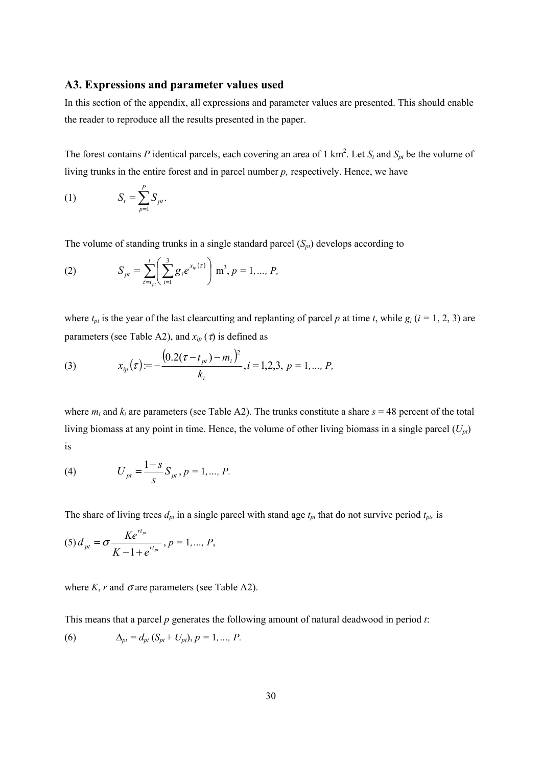### **A3. Expressions and parameter values used**

In this section of the appendix, all expressions and parameter values are presented. This should enable the reader to reproduce all the results presented in the paper.

The forest contains P identical parcels, each covering an area of 1 km<sup>2</sup>. Let  $S_t$  and  $S_{pt}$  be the volume of living trunks in the entire forest and in parcel number *p,* respectively. Hence, we have

$$
(1) \tS_t = \sum_{p=1}^r S_{pt}.
$$

*P*

The volume of standing trunks in a single standard parcel  $(S_n)$  develops according to

(2) 
$$
S_{pt} = \sum_{\tau=t_{pt}}^{t} \left( \sum_{i=1}^{3} g_i e^{x_{ip}(\tau)} \right) m^3, p = 1, ..., P,
$$

where  $t_{pt}$  is the year of the last clearcutting and replanting of parcel *p* at time *t*, while  $g_i$  ( $i = 1, 2, 3$ ) are parameters (see Table A2), and  $x_{ip}(\tau)$  is defined as

(3) 
$$
x_{ip}(\tau) := -\frac{\left(0.2(\tau - t_{pt}) - m_{i}\right)^{2}}{k_{i}}, i = 1, 2, 3, p = 1, ..., P,
$$

where  $m_i$  and  $k_i$  are parameters (see Table A2). The trunks constitute a share  $s = 48$  percent of the total living biomass at any point in time. Hence, the volume of other living biomass in a single parcel (*Upt*) is

(4) 
$$
U_{pt} = \frac{1-s}{s} S_{pt}, p = 1, ..., P.
$$

The share of living trees  $d_{pt}$  in a single parcel with stand age  $t_{pt}$  that do not survive period  $t_{pt}$  is

$$
(5) d_{pt} = \sigma \frac{Ke^{rt_{pt}}}{K-1+e^{rt_{pt}}}, p = 1,..., P,
$$

where  $K$ ,  $r$  and  $\sigma$  are parameters (see Table A2).

This means that a parcel *p* generates the following amount of natural deadwood in period *t*: (6)  $\Delta_{pt} = d_{pt} (S_{pt} + U_{pt}), p = 1, ..., P.$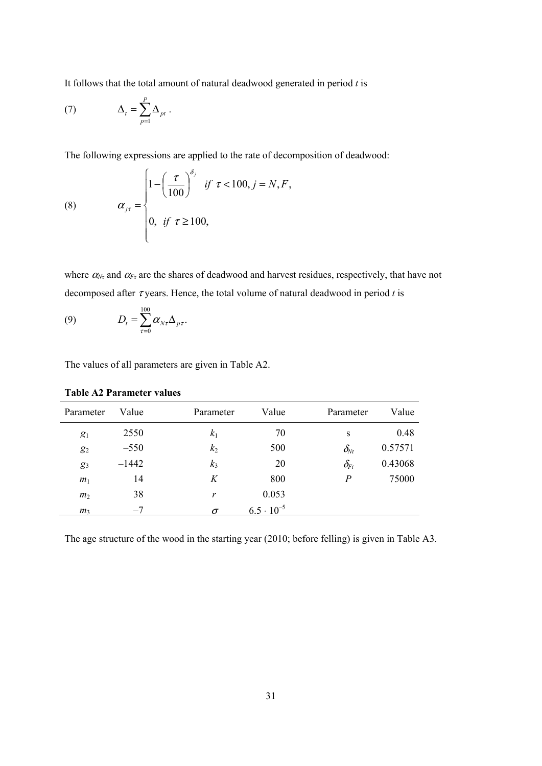It follows that the total amount of natural deadwood generated in period *t* is

(7) 
$$
\Delta_t = \sum_{p=1}^P \Delta_{pt} .
$$

The following expressions are applied to the rate of decomposition of deadwood:

(8) 
$$
\alpha_{j\tau} = \begin{cases} 1 - \left(\frac{\tau}{100}\right)^{\delta_j} & \text{if } \tau < 100, j = N, F, \\ 0, & \text{if } \tau \ge 100, \end{cases}
$$

where  $\alpha_{N_{\tau}}$  and  $\alpha_{F_{\tau}}$  are the shares of deadwood and harvest residues, respectively, that have not decomposed after  $\tau$  years. Hence, the total volume of natural deadwood in period *t* is

(9) 
$$
D_t = \sum_{\tau=0}^{100} \alpha_{N\tau} \Delta_{\rho\tau}.
$$

The values of all parameters are given in Table A2.

| Parameter      | Value   | Parameter      | Value               | Parameter                            | Value   |
|----------------|---------|----------------|---------------------|--------------------------------------|---------|
| $g_1$          | 2550    | $k_1$          | 70                  | S                                    | 0.48    |
| $g_2$          | $-550$  | k <sub>2</sub> | 500                 | $\delta_{\!\scriptscriptstyle Nt}$   | 0.57571 |
| $g_3$          | $-1442$ | $k_3$          | 20                  | $\delta_{{\!\scriptscriptstyle F}t}$ | 0.43068 |
| m <sub>1</sub> | 14      | K              | 800                 | $\boldsymbol{P}$                     | 75000   |
| m <sub>2</sub> | 38      | r              | 0.053               |                                      |         |
| m <sub>3</sub> | $-7$    | $\sigma$       | $6.5 \cdot 10^{-5}$ |                                      |         |

**Table A2 Parameter values** 

The age structure of the wood in the starting year (2010; before felling) is given in Table A3.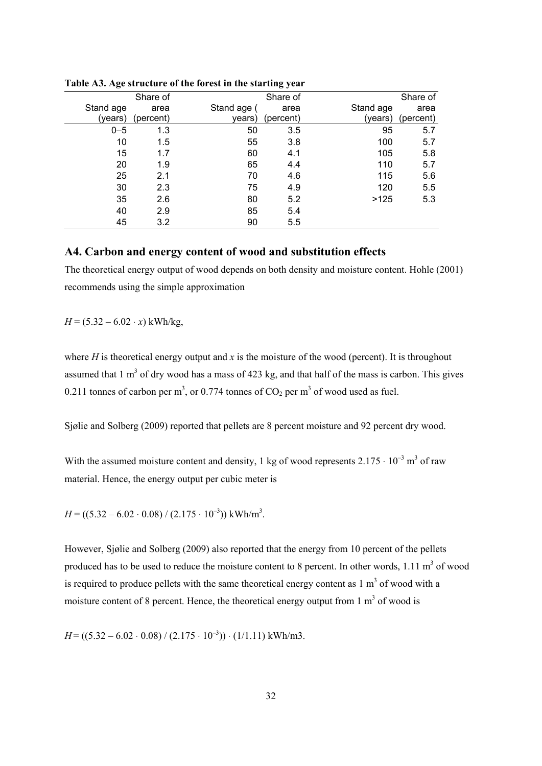|           |           |             | ---- , ,  |           |           |
|-----------|-----------|-------------|-----------|-----------|-----------|
|           | Share of  |             | Share of  |           | Share of  |
| Stand age | area      | Stand age ( | area      | Stand age | area      |
| (years)   | (percent) | vears)      | (percent) | (years)   | (percent) |
| $0 - 5$   | 1.3       | 50          | 3.5       | 95        | 5.7       |
| 10        | 1.5       | 55          | 3.8       | 100       | 5.7       |
| 15        | 1.7       | 60          | 4.1       | 105       | 5.8       |
| 20        | 1.9       | 65          | 4.4       | 110       | 5.7       |
| 25        | 2.1       | 70          | 4.6       | 115       | 5.6       |
| 30        | 2.3       | 75          | 4.9       | 120       | 5.5       |
| 35        | 2.6       | 80          | 5.2       | >125      | 5.3       |
| 40        | 2.9       | 85          | 5.4       |           |           |
| 45        | 3.2       | 90          | 5.5       |           |           |

**Table A3. Age structure of the forest in the starting year** 

### **A4. Carbon and energy content of wood and substitution effects**

The theoretical energy output of wood depends on both density and moisture content. Hohle (2001) recommends using the simple approximation

 $H = (5.32 - 6.02 \cdot x)$  kWh/kg,

where  $H$  is theoretical energy output and  $x$  is the moisture of the wood (percent). It is throughout assumed that  $1 \text{ m}^3$  of dry wood has a mass of 423 kg, and that half of the mass is carbon. This gives 0.211 tonnes of carbon per m<sup>3</sup>, or 0.774 tonnes of  $CO_2$  per m<sup>3</sup> of wood used as fuel.

Sjølie and Solberg (2009) reported that pellets are 8 percent moisture and 92 percent dry wood.

With the assumed moisture content and density, 1 kg of wood represents  $2.175 \cdot 10^{-3}$  m<sup>3</sup> of raw material. Hence, the energy output per cubic meter is

 $H = ((5.32 - 6.02 \cdot 0.08) / (2.175 \cdot 10^{-3}))$  kWh/m<sup>3</sup>.

However, Sjølie and Solberg (2009) also reported that the energy from 10 percent of the pellets produced has to be used to reduce the moisture content to 8 percent. In other words,  $1.11 \text{ m}^3$  of wood is required to produce pellets with the same theoretical energy content as  $1 \text{ m}^3$  of wood with a moisture content of 8 percent. Hence, the theoretical energy output from  $1 \text{ m}^3$  of wood is

 $H = ((5.32 - 6.02 \cdot 0.08) / (2.175 \cdot 10^{-3})) \cdot (1/1.11)$  kWh/m3.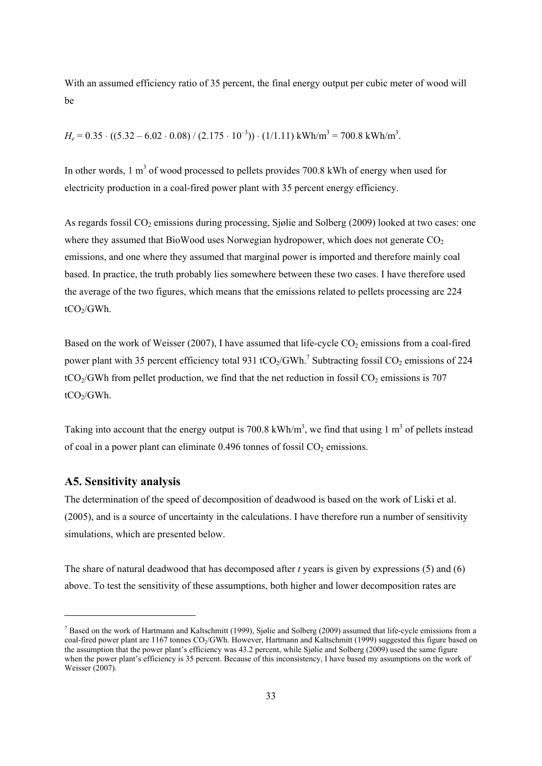With an assumed efficiency ratio of 35 percent, the final energy output per cubic meter of wood will be

 $H_e = 0.35 \cdot ((5.32 - 6.02 \cdot 0.08) / (2.175 \cdot 10^{-3})) \cdot (1/1.11) \text{ kWh/m}^3 = 700.8 \text{ kWh/m}^3$ .

In other words, 1  $m<sup>3</sup>$  of wood processed to pellets provides 700.8 kWh of energy when used for electricity production in a coal-fired power plant with 35 percent energy efficiency.

As regards fossil  $CO<sub>2</sub>$  emissions during processing, Sjølie and Solberg (2009) looked at two cases: one where they assumed that BioWood uses Norwegian hydropower, which does not generate  $CO<sub>2</sub>$ emissions, and one where they assumed that marginal power is imported and therefore mainly coal based. In practice, the truth probably lies somewhere between these two cases. I have therefore used the average of the two figures, which means that the emissions related to pellets processing are 224  $tCO<sub>2</sub>/GWh.$ 

Based on the work of Weisser (2007), I have assumed that life-cycle  $CO<sub>2</sub>$  emissions from a coal-fired power plant with 35 percent efficiency total 931 tCO<sub>2</sub>/GWh.<sup>7</sup> Subtracting fossil CO<sub>2</sub> emissions of 224  $tCO<sub>2</sub>/GWh$  from pellet production, we find that the net reduction in fossil  $CO<sub>2</sub>$  emissions is 707  $tCO<sub>2</sub>/GWh.$ 

Taking into account that the energy output is 700.8 kWh/m<sup>3</sup>, we find that using 1 m<sup>3</sup> of pellets instead of coal in a power plant can eliminate  $0.496$  tonnes of fossil  $CO<sub>2</sub>$  emissions.

### **A5. Sensitivity analysis**

1

The determination of the speed of decomposition of deadwood is based on the work of Liski et al. (2005), and is a source of uncertainty in the calculations. I have therefore run a number of sensitivity simulations, which are presented below.

The share of natural deadwood that has decomposed after *t* years is given by expressions (5) and (6) above. To test the sensitivity of these assumptions, both higher and lower decomposition rates are

<sup>&</sup>lt;sup>7</sup> Based on the work of Hartmann and Kaltschmitt (1999), Sjølie and Solberg (2009) assumed that life-cycle emissions from a coal-fired power plant are 1167 tonnes CO<sub>2</sub>/GWh. However, Hartmann and Kaltschmitt (1999) suggested this figure based on the assumption that the power plant's efficiency was 43.2 percent, while Sjølie and Solberg (2009) used the same figure when the power plant's efficiency is 35 percent. Because of this inconsistency, I have based my assumptions on the work of Weisser (2007).